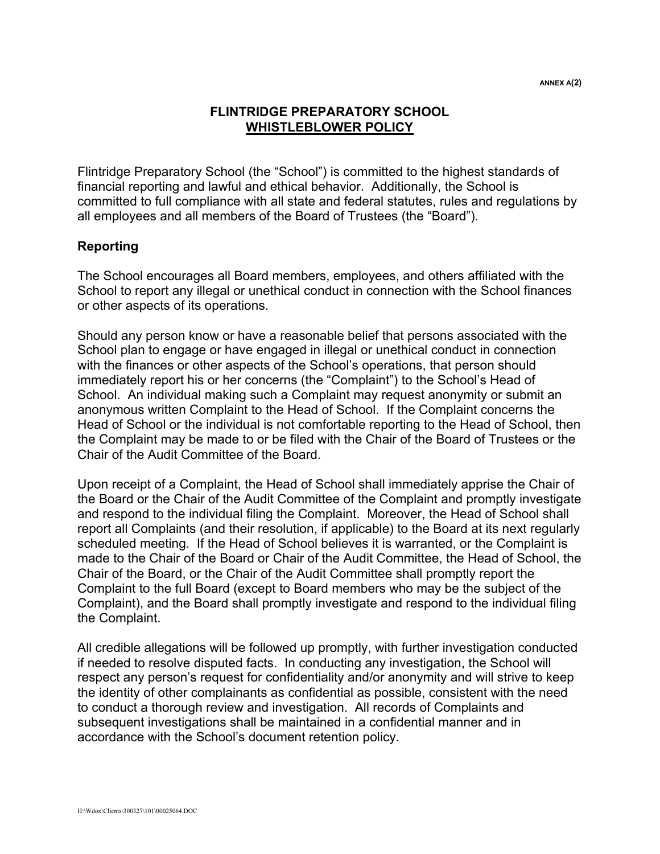## **FLINTRIDGE PREPARATORY SCHOOL WHISTLEBLOWER POLICY**

Flintridge Preparatory School (the "School") is committed to the highest standards of financial reporting and lawful and ethical behavior. Additionally, the School is committed to full compliance with all state and federal statutes, rules and regulations by all employees and all members of the Board of Trustees (the "Board").

## **Reporting**

The School encourages all Board members, employees, and others affiliated with the School to report any illegal or unethical conduct in connection with the School finances or other aspects of its operations.

Should any person know or have a reasonable belief that persons associated with the School plan to engage or have engaged in illegal or unethical conduct in connection with the finances or other aspects of the School's operations, that person should immediately report his or her concerns (the "Complaint") to the School's Head of School. An individual making such a Complaint may request anonymity or submit an anonymous written Complaint to the Head of School. If the Complaint concerns the Head of School or the individual is not comfortable reporting to the Head of School, then the Complaint may be made to or be filed with the Chair of the Board of Trustees or the Chair of the Audit Committee of the Board.

Upon receipt of a Complaint, the Head of School shall immediately apprise the Chair of the Board or the Chair of the Audit Committee of the Complaint and promptly investigate and respond to the individual filing the Complaint. Moreover, the Head of School shall report all Complaints (and their resolution, if applicable) to the Board at its next regularly scheduled meeting. If the Head of School believes it is warranted, or the Complaint is made to the Chair of the Board or Chair of the Audit Committee, the Head of School, the Chair of the Board, or the Chair of the Audit Committee shall promptly report the Complaint to the full Board (except to Board members who may be the subject of the Complaint), and the Board shall promptly investigate and respond to the individual filing the Complaint.

All credible allegations will be followed up promptly, with further investigation conducted if needed to resolve disputed facts. In conducting any investigation, the School will respect any person's request for confidentiality and/or anonymity and will strive to keep the identity of other complainants as confidential as possible, consistent with the need to conduct a thorough review and investigation. All records of Complaints and subsequent investigations shall be maintained in a confidential manner and in accordance with the School's document retention policy.